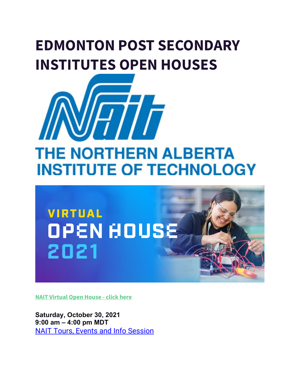# **EDMONTON POST SECONDARY INSTITUTES OPEN HOUSES**





**[NAIT Virtual Open House -](https://www.nait.ca/nait/admissions/tours-events-and-info-sessions/open-house) click here**

**Saturday, October 30, 2021 9:00 am – 4:00 pm MDT** [NAIT Tours, Events and Info Session](https://www.nait.ca/nait/admissions/tours-events-and-info-sessions)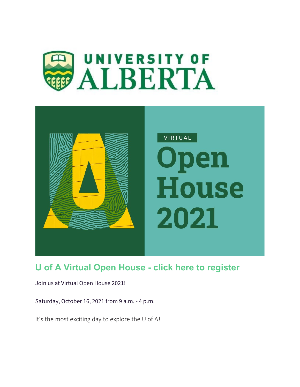



### **[U of A Virtual Open House - click here to register](https://www.ualberta.ca/admissions/undergraduate/tours-and-events/open-house/index.html?)**

Join us at Virtual Open House 2021!

Saturday, October 16, 2021 from 9 a.m. - 4 p.m.

It's the most exciting day to explore the U of A!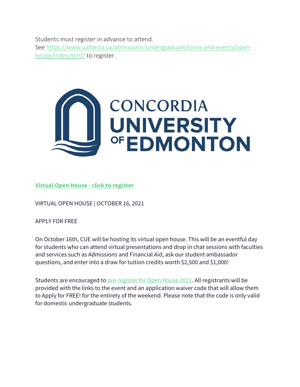Students must register in advance to attend.

See [https://www.ualberta.ca/admissions/undergraduate/tours-and-events/open](https://can01.safelinks.protection.outlook.com/?url=https%3A%2F%2Fwww.ualberta.ca%2Fadmissions%2Fundergraduate%2Ftours-and-events%2Fopen-house%2Findex.html%3F&data=04%7C01%7CSheryl.Ogonoski%40ecsd.net%7Cb75d542a5dca469accb408d98840faf4%7Cb18d9f6f0743460da19b0b3297eeeb89%7C0%7C0%7C637690634928713017%7CUnknown%7CTWFpbGZsb3d8eyJWIjoiMC4wLjAwMDAiLCJQIjoiV2luMzIiLCJBTiI6Ik1haWwiLCJXVCI6Mn0%3D%7C1000&sdata=qwu%2Bm6SAqeULe4OptBX%2FA7xvVVxkejwQQORXx0vNbfo%3D&reserved=0)[house/index.html?](https://can01.safelinks.protection.outlook.com/?url=https%3A%2F%2Fwww.ualberta.ca%2Fadmissions%2Fundergraduate%2Ftours-and-events%2Fopen-house%2Findex.html%3F&data=04%7C01%7CSheryl.Ogonoski%40ecsd.net%7Cb75d542a5dca469accb408d98840faf4%7Cb18d9f6f0743460da19b0b3297eeeb89%7C0%7C0%7C637690634928713017%7CUnknown%7CTWFpbGZsb3d8eyJWIjoiMC4wLjAwMDAiLCJQIjoiV2luMzIiLCJBTiI6Ik1haWwiLCJXVCI6Mn0%3D%7C1000&sdata=qwu%2Bm6SAqeULe4OptBX%2FA7xvVVxkejwQQORXx0vNbfo%3D&reserved=0) to register.



#### **Virtual Open House - click to register**

VIRTUAL OPEN HOUSE | OCTOBER 16, 2021

APPLY FOR FREE

On October 16th, CUE will be hosting its virtual open house. This will be an eventful day for students who can attend virtual presentations and drop in chat sessions with faculties and services such as Admissions and Financial Aid, ask our student ambassador questions, and enter into a draw for tuition credits worth \$2,500 and \$1,000!

Students are encouraged to [pre-register for Open House 2021.](https://can01.safelinks.protection.outlook.com/?url=https%3A%2F%2Fconcordia.us19.list-manage.com%2Ftrack%2Fclick%3Fu%3Ddea286d78eff29f70bc3ddf7a%26id%3Df612b063a8%26e%3Ddc6e00d36d&data=04%7C01%7CSheryl.Ogonoski%40ecsd.net%7C1593e9dfe6814bb6c39d08d988402135%7Cb18d9f6f0743460da19b0b3297eeeb89%7C0%7C0%7C637690631272570814%7CUnknown%7CTWFpbGZsb3d8eyJWIjoiMC4wLjAwMDAiLCJQIjoiV2luMzIiLCJBTiI6Ik1haWwiLCJXVCI6Mn0%3D%7C1000&sdata=aUuvCoWFG5j1tqkhaIjzul65dv%2BkahiUBU1jEHXgXN0%3D&reserved=0) All registrants will be provided with the links to the event and an application waiver code that will allow them to Apply for FREE! for the entirety of the weekend. Please note that the code is only valid for domestic undergraduate students.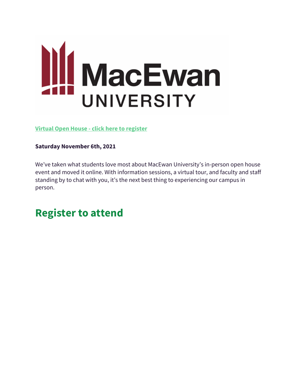

**Virtual Open House - [click here to register](https://www.macewan.ca/campus-life/open-house/)**

#### **Saturday November 6th, 2021**

We've taken what students love most about MacEwan University's in-person open house event and moved it online. With information sessions, a virtual tour, and faculty and staff standing by to chat with you, it's the next best thing to experiencing our campus in person.

## **Register to attend**